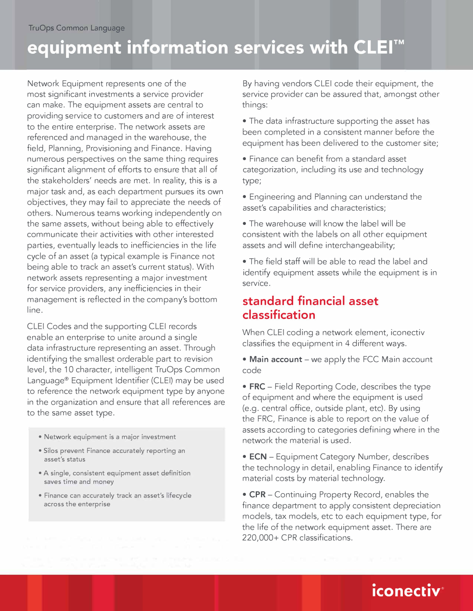# equipment information services with CLEI™

Network Equipment represents one of the most significant investments a service provider can make. The equipment assets are central to providing service to customers and are of interest to the entire enterprise. The network assets are referenced and managed in the warehouse, the field, Planning, Provisioning and Finance. Having numerous perspectives on the same thing requires significant alignment of efforts to ensure that all of the stakeholders' needs are met. In reality, this is a major task and, as each department pursues its own objectives, they may fail to appreciate the needs of others. Numerous teams working independently on the same assets, without being able to effectively communicate their activities with other interested parties, eventually leads to inefficiencies in the life cycle of an asset (a typical example is Finance not being able to track an asset's current status). With network assets representing a major investment for service providers, any inefficiencies in their management is reflected in the company's bottom line.

CLEI Codes and the supporting CLEI records enable an enterprise to unite around a single data infrastructure representing an asset. Through identifying the smallest orderable part to revision level, the 10 character, intelligent TruOps Common Language® Equipment Identifier (CLEI) may be used to reference the network equipment type by anyone in the organization and ensure that all references are to the same asset type.

- **Network equipment is a major investment**
- **Silos prevent Finance accurately reporting an asset's status**
- **A single, consistent equipment asset definition saves time and money**
- **Finance can accurately track an asset's lifecycle across the enterprise**

By having vendors CLEI code their equipment, the service provider can be assured that, amongst other things:

• The data infrastructure supporting the asset has been completed in a consistent manner before the equipment has been delivered to the customer site;

- Finance can benefit from a standard asset categorization, including its use and technology type;
- Engineering and Planning can understand the asset's capabilities and characteristics;
- The warehouse will know the label will be consistent with the labels on all other equipment assets and will define interchangeability;

• The field staff will be able to read the label and identify equipment assets while the equipment is in service.

### **standard financial asset classification**

When CLEI coding a network element, iconectiv classifies the equipment in 4 different ways.

• Main account – we apply the FCC Main account code

• **FRC-** Field Reporting Code, describes the type of equipment and where the equipment is used (e.g. central office, outside plant, etc). By using the FRC, Finance is able to report on the value of assets according to categories defining where in the network the material is used.

• **ECN** - Equipment Category Number, describes the technology in detail, enabling Finance to identify material costs by material technology.

• **CPR** - Continuing Property Record, enables the finance department to apply consistent depreciation models, tax models, etc to each equipment type, for the life of the network equipment asset. There are 220,000+ CPR classifications.

# • • **1conect1v®**